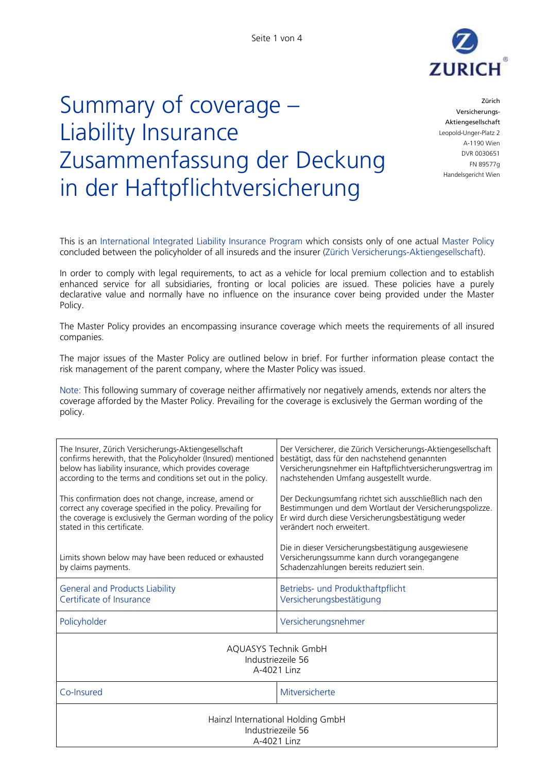

## Summary of coverage – Liability Insurance Zusammenfassung der Deckung in der Haftpflichtversicherung

Zürich Versicherungs-Aktiengesellschaft Leopold-Unger-Platz 2 A-1190 Wien DVR 0030651 FN 89577g Handelsgericht Wien

This is an International Integrated Liability Insurance Program which consists only of one actual Master Policy concluded between the policyholder of all insureds and the insurer (Zürich Versicherungs-Aktiengesellschaft).

In order to comply with legal requirements, to act as a vehicle for local premium collection and to establish enhanced service for all subsidiaries, fronting or local policies are issued. These policies have a purely declarative value and normally have no influence on the insurance cover being provided under the Master Policy.

The Master Policy provides an encompassing insurance coverage which meets the requirements of all insured companies.

The major issues of the Master Policy are outlined below in brief. For further information please contact the risk management of the parent company, where the Master Policy was issued.

Note: This following summary of coverage neither affirmatively nor negatively amends, extends nor alters the coverage afforded by the Master Policy. Prevailing for the coverage is exclusively the German wording of the policy.

| The Insurer, Zürich Versicherungs-Aktiengesellschaft<br>confirms herewith, that the Policyholder (Insured) mentioned<br>below has liability insurance, which provides coverage<br>according to the terms and conditions set out in the policy. | Der Versicherer, die Zürich Versicherungs-Aktiengesellschaft<br>bestätigt, dass für den nachstehend genannten<br>Versicherungsnehmer ein Haftpflichtversicherungsvertrag im<br>nachstehenden Umfang ausgestellt wurde. |  |
|------------------------------------------------------------------------------------------------------------------------------------------------------------------------------------------------------------------------------------------------|------------------------------------------------------------------------------------------------------------------------------------------------------------------------------------------------------------------------|--|
| This confirmation does not change, increase, amend or<br>correct any coverage specified in the policy. Prevailing for<br>the coverage is exclusively the German wording of the policy<br>stated in this certificate.                           | Der Deckungsumfang richtet sich ausschließlich nach den<br>Bestimmungen und dem Wortlaut der Versicherungspolizze.<br>Er wird durch diese Versicherungsbestätigung weder<br>verändert noch erweitert.                  |  |
| Limits shown below may have been reduced or exhausted<br>by claims payments.                                                                                                                                                                   | Die in dieser Versicherungsbestätigung ausgewiesene<br>Versicherungssumme kann durch vorangegangene<br>Schadenzahlungen bereits reduziert sein.                                                                        |  |
| <b>General and Products Liability</b><br>Certificate of Insurance                                                                                                                                                                              | Betriebs- und Produkthaftpflicht<br>Versicherungsbestätigung                                                                                                                                                           |  |
| Policyholder                                                                                                                                                                                                                                   | Versicherungsnehmer                                                                                                                                                                                                    |  |
| AQUASYS Technik GmbH<br>Industriezeile 56<br>A-4021 Linz                                                                                                                                                                                       |                                                                                                                                                                                                                        |  |
| Co-Insured                                                                                                                                                                                                                                     | Mitversicherte                                                                                                                                                                                                         |  |
| Hainzl International Holding GmbH<br>Industriezeile 56<br>A-4021 Linz                                                                                                                                                                          |                                                                                                                                                                                                                        |  |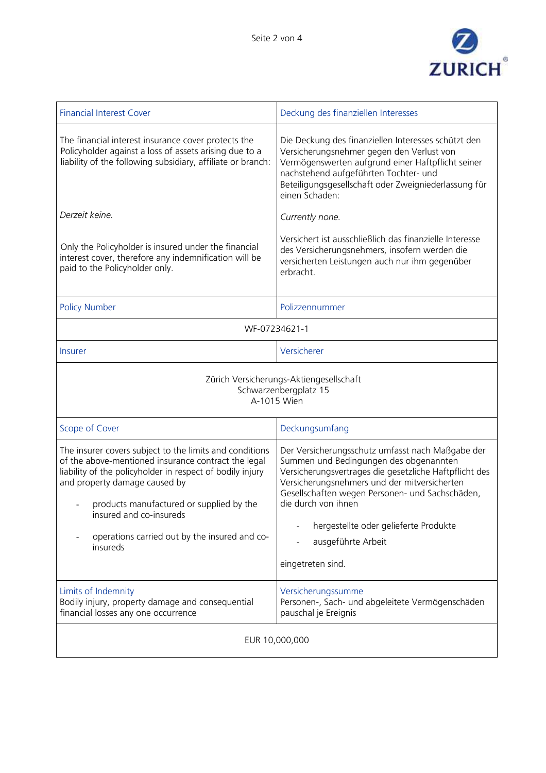

| <b>Financial Interest Cover</b>                                                                                                                                                                                                                                                                                                                  | Deckung des finanziellen Interesses                                                                                                                                                                                                                                                                                                                                |  |
|--------------------------------------------------------------------------------------------------------------------------------------------------------------------------------------------------------------------------------------------------------------------------------------------------------------------------------------------------|--------------------------------------------------------------------------------------------------------------------------------------------------------------------------------------------------------------------------------------------------------------------------------------------------------------------------------------------------------------------|--|
| The financial interest insurance cover protects the<br>Policyholder against a loss of assets arising due to a<br>liability of the following subsidiary, affiliate or branch:                                                                                                                                                                     | Die Deckung des finanziellen Interesses schützt den<br>Versicherungsnehmer gegen den Verlust von<br>Vermögenswerten aufgrund einer Haftpflicht seiner<br>nachstehend aufgeführten Tochter- und<br>Beteiligungsgesellschaft oder Zweigniederlassung für<br>einen Schaden:                                                                                           |  |
| Derzeit keine.                                                                                                                                                                                                                                                                                                                                   | Currently none.                                                                                                                                                                                                                                                                                                                                                    |  |
| Only the Policyholder is insured under the financial<br>interest cover, therefore any indemnification will be<br>paid to the Policyholder only.                                                                                                                                                                                                  | Versichert ist ausschließlich das finanzielle Interesse<br>des Versicherungsnehmers, insofern werden die<br>versicherten Leistungen auch nur ihm gegenüber<br>erbracht.                                                                                                                                                                                            |  |
| <b>Policy Number</b>                                                                                                                                                                                                                                                                                                                             | Polizzennummer                                                                                                                                                                                                                                                                                                                                                     |  |
| WF-07234621-1                                                                                                                                                                                                                                                                                                                                    |                                                                                                                                                                                                                                                                                                                                                                    |  |
| <b>Insurer</b>                                                                                                                                                                                                                                                                                                                                   | Versicherer                                                                                                                                                                                                                                                                                                                                                        |  |
| Zürich Versicherungs-Aktiengesellschaft<br>Schwarzenbergplatz 15<br>A-1015 Wien                                                                                                                                                                                                                                                                  |                                                                                                                                                                                                                                                                                                                                                                    |  |
| Scope of Cover                                                                                                                                                                                                                                                                                                                                   | Deckungsumfang                                                                                                                                                                                                                                                                                                                                                     |  |
| The insurer covers subject to the limits and conditions<br>of the above-mentioned insurance contract the legal<br>liability of the policyholder in respect of bodily injury<br>and property damage caused by<br>products manufactured or supplied by the<br>insured and co-insureds<br>operations carried out by the insured and co-<br>insureds | Der Versicherungsschutz umfasst nach Maßgabe der<br>Summen und Bedingungen des obgenannten<br>Versicherungsvertrages die gesetzliche Haftpflicht des<br>Versicherungsnehmers und der mitversicherten<br>Gesellschaften wegen Personen- und Sachschäden,<br>die durch von ihnen<br>hergestellte oder gelieferte Produkte<br>ausgeführte Arbeit<br>eingetreten sind. |  |
| Limits of Indemnity<br>Bodily injury, property damage and consequential<br>financial losses any one occurrence                                                                                                                                                                                                                                   | Versicherungssumme<br>Personen-, Sach- und abgeleitete Vermögenschäden<br>pauschal je Ereignis                                                                                                                                                                                                                                                                     |  |
| EUR 10,000,000                                                                                                                                                                                                                                                                                                                                   |                                                                                                                                                                                                                                                                                                                                                                    |  |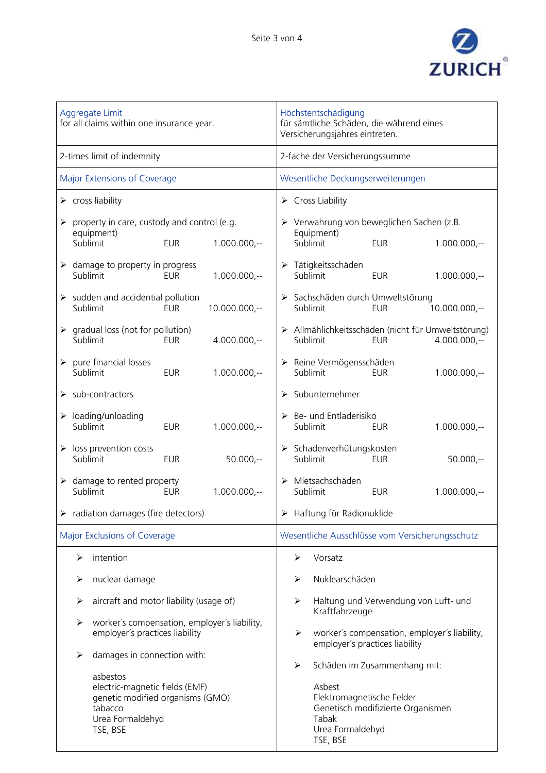

| Aggregate Limit<br>for all claims within one insurance year.                                                              | Höchstentschädigung<br>für sämtliche Schäden, die während eines<br>Versicherungsjahres eintreten.                 |
|---------------------------------------------------------------------------------------------------------------------------|-------------------------------------------------------------------------------------------------------------------|
| 2-times limit of indemnity                                                                                                | 2-fache der Versicherungssumme                                                                                    |
| Major Extensions of Coverage                                                                                              | Wesentliche Deckungserweiterungen                                                                                 |
| $\triangleright$ cross liability                                                                                          | $\triangleright$ Cross Liability                                                                                  |
| property in care, custody and control (e.g.<br>$\blacktriangleright$<br>equipment)                                        | > Verwahrung von beweglichen Sachen (z.B.<br>Equipment)                                                           |
| Sublimit<br><b>EUR</b><br>$1.000.000,-$                                                                                   | Sublimit<br><b>EUR</b><br>$1.000.000,-$                                                                           |
| $\triangleright$ damage to property in progress<br>$1.000.000,-$<br>Sublimit<br><b>EUR</b>                                | > Tätigkeitsschäden<br>Sublimit<br><b>EUR</b><br>$1.000.000,-$                                                    |
| sudden and accidential pollution<br>➤<br>Sublimit<br><b>EUR</b><br>$10.000.000,-$                                         | > Sachschäden durch Umweltstörung<br>Sublimit<br><b>EUR</b><br>$10.000.000,-$                                     |
| gradual loss (not for pollution)<br>$\blacktriangleright$<br>Sublimit<br>$4.000.000,-$<br><b>EUR</b>                      | > Allmählichkeitsschäden (nicht für Umweltstörung)<br>Sublimit<br>$4.000.000 -$<br><b>EUR</b>                     |
| pure financial losses<br>$\blacktriangleright$<br>Sublimit<br><b>EUR</b><br>$1.000.000,-$                                 | Reine Vermögensschäden<br>Sublimit<br>$1.000.000,-$<br><b>EUR</b>                                                 |
| $\triangleright$ sub-contractors                                                                                          | Subunternehmer<br>➤                                                                                               |
| loading/unloading<br>➤<br>Sublimit<br><b>EUR</b><br>$1.000.000,-$                                                         | $\triangleright$ Be- und Entladerisiko<br>Sublimit<br>$1.000.000,-$<br>EUR                                        |
| loss prevention costs<br>Sublimit<br><b>EUR</b><br>$50.000,-$                                                             | > Schadenverhütungskosten<br>Sublimit<br>$50.000,-$<br><b>EUR</b>                                                 |
| $\triangleright$ damage to rented property<br>Sublimit<br>$1.000.000,-$<br><b>EUR</b>                                     | Mietsachschäden<br>Sublimit<br><b>EUR</b><br>$1.000.000,-$                                                        |
| $\triangleright$ radiation damages (fire detectors)                                                                       | > Haftung für Radionuklide                                                                                        |
| Major Exclusions of Coverage                                                                                              | Wesentliche Ausschlüsse vom Versicherungsschutz                                                                   |
| intention<br>➤                                                                                                            | Vorsatz<br>➤                                                                                                      |
| nuclear damage<br>➤                                                                                                       | Nuklearschäden<br>$\blacktriangleright$                                                                           |
| aircraft and motor liability (usage of)<br>➤                                                                              | Haltung und Verwendung von Luft- und<br>$\blacktriangleright$<br>Kraftfahrzeuge                                   |
| worker's compensation, employer's liability,<br>➤<br>employer's practices liability                                       | worker's compensation, employer's liability,<br>➤<br>employer's practices liability                               |
| damages in connection with:<br>➤                                                                                          | Schäden im Zusammenhang mit:<br>➤                                                                                 |
| asbestos<br>electric-magnetic fields (EMF)<br>genetic modified organisms (GMO)<br>tabacco<br>Urea Formaldehyd<br>TSE, BSE | Asbest<br>Elektromagnetische Felder<br>Genetisch modifizierte Organismen<br>Tabak<br>Urea Formaldehyd<br>TSE, BSE |